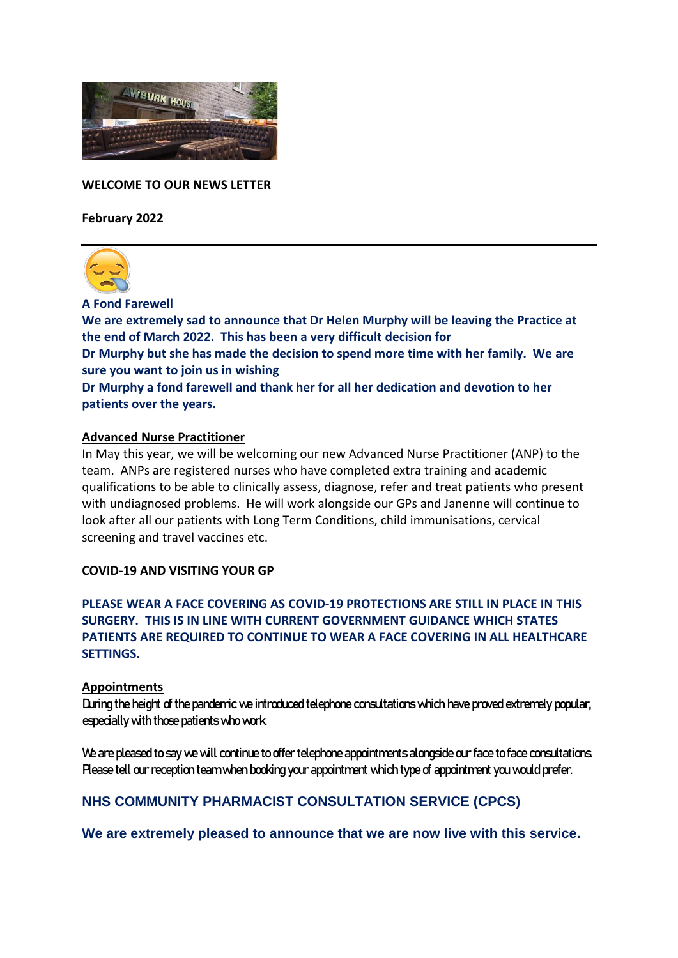

**WELCOME TO OUR NEWS LETTER**

**February 2022**



**A Fond Farewell**

**We are extremely sad to announce that Dr Helen Murphy will be leaving the Practice at the end of March 2022. This has been a very difficult decision for Dr Murphy but she has made the decision to spend more time with her family. We are sure you want to join us in wishing Dr Murphy a fond farewell and thank her for all her dedication and devotion to her patients over the years.** 

# **Advanced Nurse Practitioner**

In May this year, we will be welcoming our new Advanced Nurse Practitioner (ANP) to the team. ANPs are registered nurses who have completed extra training and academic qualifications to be able to clinically assess, diagnose, refer and treat patients who present with undiagnosed problems. He will work alongside our GPs and Janenne will continue to look after all our patients with Long Term Conditions, child immunisations, cervical screening and travel vaccines etc.

#### **COVID-19 AND VISITING YOUR GP**

**PLEASE WEAR A FACE COVERING AS COVID-19 PROTECTIONS ARE STILL IN PLACE IN THIS SURGERY. THIS IS IN LINE WITH CURRENT GOVERNMENT GUIDANCE WHICH STATES PATIENTS ARE REQUIRED TO CONTINUE TO WEAR A FACE COVERING IN ALL HEALTHCARE SETTINGS.**

#### **Appointments**

During the height of the pandemic we introduced telephone consultations which have proved extremely popular, especially with those patients who work.

We are pleased to say we will continue to offer telephone appointments alongside our face to face consultations. Please tell our reception team when booking your appointment which type of appointment you would prefer.

## **NHS COMMUNITY PHARMACIST CONSULTATION SERVICE (CPCS)**

**We are extremely pleased to announce that we are now live with this service.**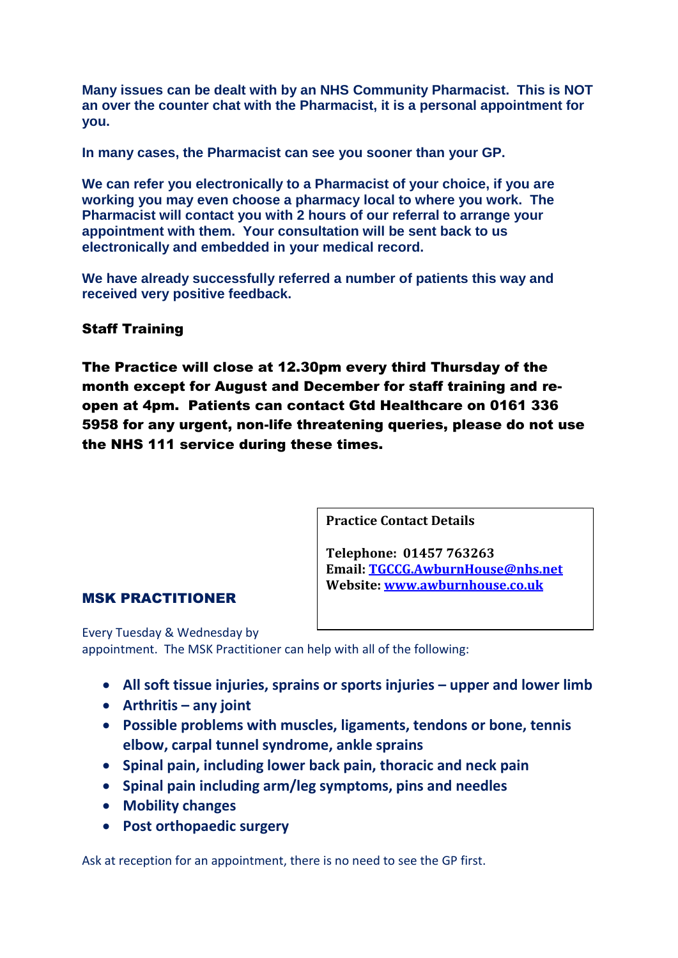**Many issues can be dealt with by an NHS Community Pharmacist. This is NOT an over the counter chat with the Pharmacist, it is a personal appointment for you.**

**In many cases, the Pharmacist can see you sooner than your GP.**

**We can refer you electronically to a Pharmacist of your choice, if you are working you may even choose a pharmacy local to where you work. The Pharmacist will contact you with 2 hours of our referral to arrange your appointment with them. Your consultation will be sent back to us electronically and embedded in your medical record.** 

**We have already successfully referred a number of patients this way and received very positive feedback.**

## Staff Training

The Practice will close at 12.30pm every third Thursday of the month except for August and December for staff training and reopen at 4pm. Patients can contact Gtd Healthcare on 0161 336 5958 for any urgent, non-life threatening queries, please do not use the NHS 111 service during these times.

**Practice Contact Details**

**Telephone: 01457 763263 Email: [TGCCG.AwburnHouse@nhs.net](mailto:TGCCG.AwburnHouse@nhs.net) Website: [www.awburnhouse.co.uk](http://www.awburnhouse.co.uk/)**

#### MSK PRACTITIONER

Every Tuesday & Wednesday by appointment. The MSK Practitioner can help with all of the following:

- **•** All soft tissue injuries, sprains or sports injuries upper and lower limb
- **Arthritis – any joint**
- **Possible problems with muscles, ligaments, tendons or bone, tennis elbow, carpal tunnel syndrome, ankle sprains**
- **Spinal pain, including lower back pain, thoracic and neck pain**
- **Spinal pain including arm/leg symptoms, pins and needles**
- **Mobility changes**
- **Post orthopaedic surgery**

Ask at reception for an appointment, there is no need to see the GP first.